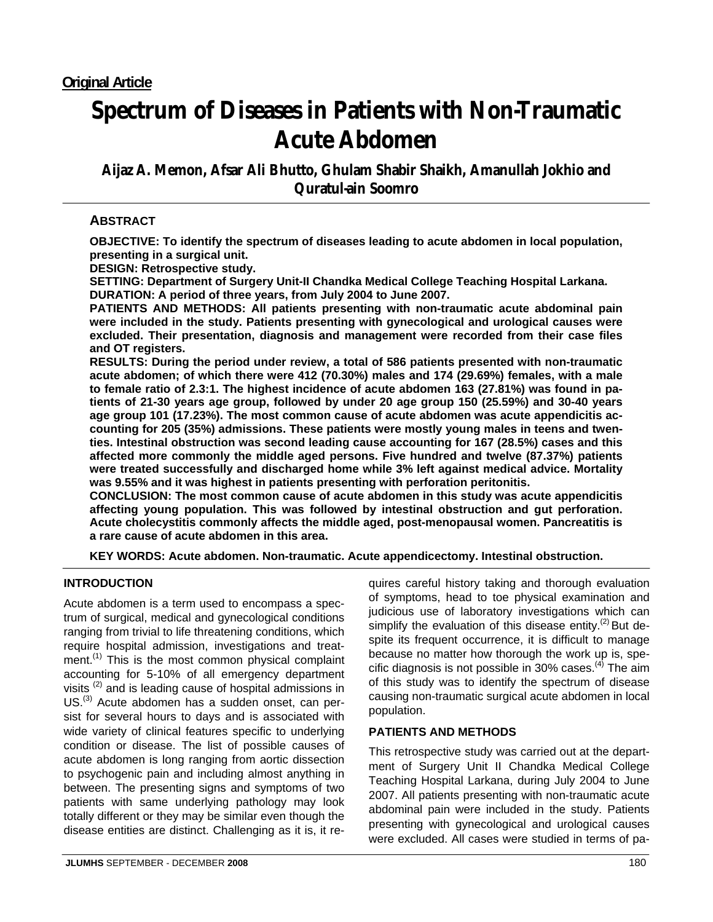# **Spectrum of Diseases in Patients with Non-Traumatic Acute Abdomen**

**Aijaz A. Memon, Afsar Ali Bhutto, Ghulam Shabir Shaikh, Amanullah Jokhio and Quratul-ain Soomro** 

# **ABSTRACT**

**OBJECTIVE: To identify the spectrum of diseases leading to acute abdomen in local population, presenting in a surgical unit.** 

**DESIGN: Retrospective study.** 

**SETTING: Department of Surgery Unit-II Chandka Medical College Teaching Hospital Larkana. DURATION: A period of three years, from July 2004 to June 2007.** 

**PATIENTS AND METHODS: All patients presenting with non-traumatic acute abdominal pain were included in the study. Patients presenting with gynecological and urological causes were excluded. Their presentation, diagnosis and management were recorded from their case files and OT registers.** 

**RESULTS: During the period under review, a total of 586 patients presented with non-traumatic acute abdomen; of which there were 412 (70.30%) males and 174 (29.69%) females, with a male to female ratio of 2.3:1. The highest incidence of acute abdomen 163 (27.81%) was found in patients of 21-30 years age group, followed by under 20 age group 150 (25.59%) and 30-40 years age group 101 (17.23%). The most common cause of acute abdomen was acute appendicitis accounting for 205 (35%) admissions. These patients were mostly young males in teens and twenties. Intestinal obstruction was second leading cause accounting for 167 (28.5%) cases and this affected more commonly the middle aged persons. Five hundred and twelve (87.37%) patients were treated successfully and discharged home while 3% left against medical advice. Mortality was 9.55% and it was highest in patients presenting with perforation peritonitis.** 

**CONCLUSION: The most common cause of acute abdomen in this study was acute appendicitis affecting young population. This was followed by intestinal obstruction and gut perforation. Acute cholecystitis commonly affects the middle aged, post-menopausal women. Pancreatitis is a rare cause of acute abdomen in this area.** 

**KEY WORDS: Acute abdomen. Non-traumatic. Acute appendicectomy. Intestinal obstruction.** 

## **INTRODUCTION**

Acute abdomen is a term used to encompass a spectrum of surgical, medical and gynecological conditions ranging from trivial to life threatening conditions, which require hospital admission, investigations and treatment.<sup>(1)</sup> This is the most common physical complaint accounting for 5-10% of all emergency department visits (2) and is leading cause of hospital admissions in US.<sup>(3)</sup> Acute abdomen has a sudden onset, can persist for several hours to days and is associated with wide variety of clinical features specific to underlying condition or disease. The list of possible causes of acute abdomen is long ranging from aortic dissection to psychogenic pain and including almost anything in between. The presenting signs and symptoms of two patients with same underlying pathology may look totally different or they may be similar even though the disease entities are distinct. Challenging as it is, it requires careful history taking and thorough evaluation of symptoms, head to toe physical examination and judicious use of laboratory investigations which can simplify the evaluation of this disease entity. $(2)$  But despite its frequent occurrence, it is difficult to manage because no matter how thorough the work up is, specific diagnosis is not possible in  $30\%$  cases.<sup>(4)</sup> The aim of this study was to identify the spectrum of disease causing non-traumatic surgical acute abdomen in local population.

### **PATIENTS AND METHODS**

This retrospective study was carried out at the department of Surgery Unit II Chandka Medical College Teaching Hospital Larkana, during July 2004 to June 2007. All patients presenting with non-traumatic acute abdominal pain were included in the study. Patients presenting with gynecological and urological causes were excluded. All cases were studied in terms of pa-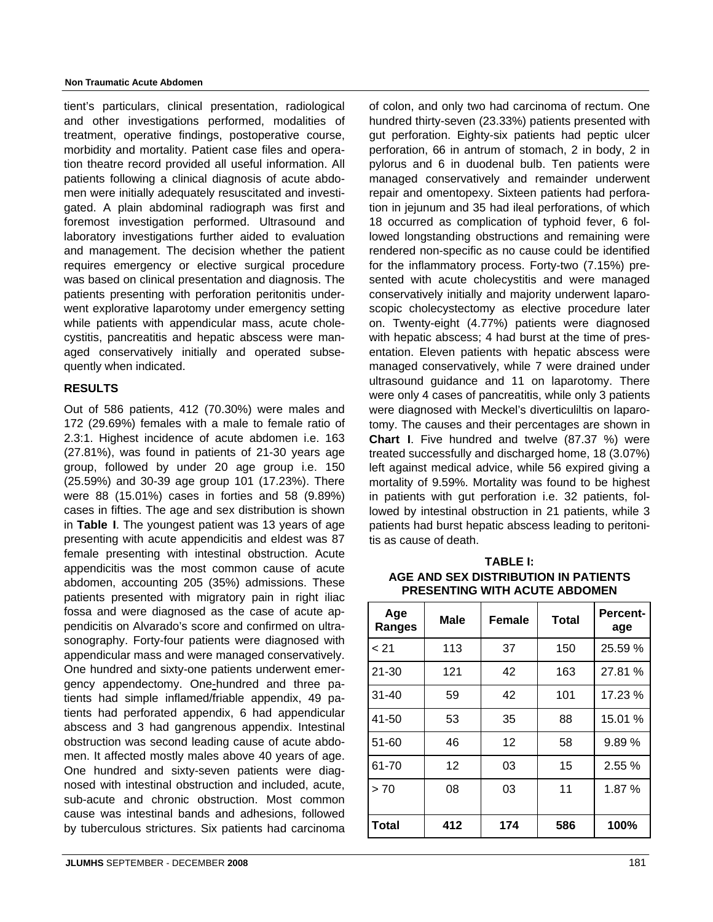#### **Non Traumatic Acute Abdomen**

tient's particulars, clinical presentation, radiological and other investigations performed, modalities of treatment, operative findings, postoperative course, morbidity and mortality. Patient case files and operation theatre record provided all useful information. All patients following a clinical diagnosis of acute abdomen were initially adequately resuscitated and investigated. A plain abdominal radiograph was first and foremost investigation performed. Ultrasound and laboratory investigations further aided to evaluation and management. The decision whether the patient requires emergency or elective surgical procedure was based on clinical presentation and diagnosis. The patients presenting with perforation peritonitis underwent explorative laparotomy under emergency setting while patients with appendicular mass, acute cholecystitis, pancreatitis and hepatic abscess were managed conservatively initially and operated subsequently when indicated.

### **RESULTS**

Out of 586 patients, 412 (70.30%) were males and 172 (29.69%) females with a male to female ratio of 2.3:1. Highest incidence of acute abdomen i.e. 163 (27.81%), was found in patients of 21-30 years age group, followed by under 20 age group i.e. 150 (25.59%) and 30-39 age group 101 (17.23%). There were 88 (15.01%) cases in forties and 58 (9.89%) cases in fifties. The age and sex distribution is shown in **Table I**. The youngest patient was 13 years of age presenting with acute appendicitis and eldest was 87 female presenting with intestinal obstruction. Acute appendicitis was the most common cause of acute abdomen, accounting 205 (35%) admissions. These patients presented with migratory pain in right iliac fossa and were diagnosed as the case of acute appendicitis on Alvarado's score and confirmed on ultrasonography. Forty-four patients were diagnosed with appendicular mass and were managed conservatively. One hundred and sixty-one patients underwent emergency appendectomy. One-hundred and three patients had simple inflamed/friable appendix, 49 patients had perforated appendix, 6 had appendicular abscess and 3 had gangrenous appendix. Intestinal obstruction was second leading cause of acute abdomen. It affected mostly males above 40 years of age. One hundred and sixty-seven patients were diagnosed with intestinal obstruction and included, acute, sub-acute and chronic obstruction. Most common cause was intestinal bands and adhesions, followed by tuberculous strictures. Six patients had carcinoma

of colon, and only two had carcinoma of rectum. One hundred thirty-seven (23.33%) patients presented with gut perforation. Eighty-six patients had peptic ulcer perforation, 66 in antrum of stomach, 2 in body, 2 in pylorus and 6 in duodenal bulb. Ten patients were managed conservatively and remainder underwent repair and omentopexy. Sixteen patients had perforation in jejunum and 35 had ileal perforations, of which 18 occurred as complication of typhoid fever, 6 followed longstanding obstructions and remaining were rendered non-specific as no cause could be identified for the inflammatory process. Forty-two (7.15%) presented with acute cholecystitis and were managed conservatively initially and majority underwent laparoscopic cholecystectomy as elective procedure later on. Twenty-eight (4.77%) patients were diagnosed with hepatic abscess; 4 had burst at the time of presentation. Eleven patients with hepatic abscess were managed conservatively, while 7 were drained under ultrasound guidance and 11 on laparotomy. There were only 4 cases of pancreatitis, while only 3 patients were diagnosed with Meckel's diverticuliltis on laparotomy. The causes and their percentages are shown in **Chart I**. Five hundred and twelve (87.37 %) were treated successfully and discharged home, 18 (3.07%) left against medical advice, while 56 expired giving a mortality of 9.59%. Mortality was found to be highest in patients with gut perforation i.e. 32 patients, followed by intestinal obstruction in 21 patients, while 3 patients had burst hepatic abscess leading to peritonitis as cause of death.

**TABLE I: AGE AND SEX DISTRIBUTION IN PATIENTS PRESENTING WITH ACUTE ABDOMEN**

| Age<br>Ranges | <b>Male</b> | <b>Female</b> | <b>Total</b> | <b>Percent-</b><br>age |
|---------------|-------------|---------------|--------------|------------------------|
| < 21          | 113         | 37            | 150          | 25.59 %                |
| $21 - 30$     | 121         | 42            | 163          | 27.81 %                |
| $31 - 40$     | 59          | 42            | 101          | 17.23 %                |
| 41-50         | 53          | 35            | 88           | 15.01 %                |
| $51 - 60$     | 46          | 12            | 58           | 9.89%                  |
| 61-70         | 12          | 03            | 15           | 2.55%                  |
| > 70          | 08          | 03            | 11           | 1.87 %                 |
| <b>Total</b>  | 412         | 174           | 586          | 100%                   |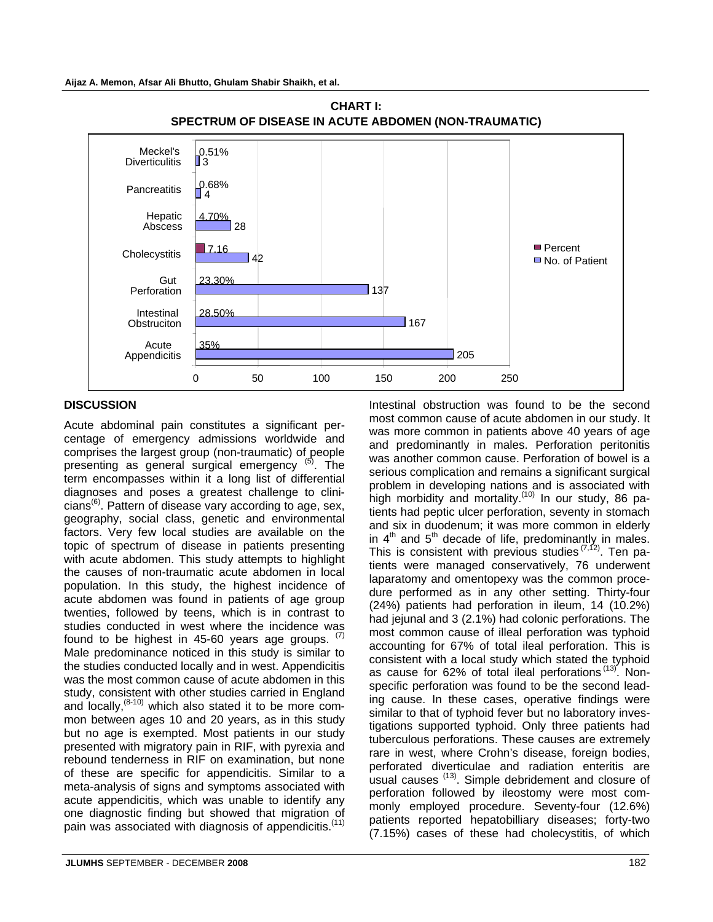



## **DISCUSSION**

Acute abdominal pain constitutes a significant percentage of emergency admissions worldwide and comprises the largest group (non-traumatic) of people presenting as general surgical emergency <sup>(5)</sup>. The term encompasses within it a long list of differential diagnoses and poses a greatest challenge to clini $cians^{(6)}$ . Pattern of disease vary according to age, sex, geography, social class, genetic and environmental factors. Very few local studies are available on the topic of spectrum of disease in patients presenting with acute abdomen. This study attempts to highlight the causes of non-traumatic acute abdomen in local population. In this study, the highest incidence of acute abdomen was found in patients of age group twenties, followed by teens, which is in contrast to studies conducted in west where the incidence was found to be highest in 45-60 years age groups.  $(7)$ Male predominance noticed in this study is similar to the studies conducted locally and in west. Appendicitis was the most common cause of acute abdomen in this study, consistent with other studies carried in England and locally,(8-10) which also stated it to be more common between ages 10 and 20 years, as in this study but no age is exempted. Most patients in our study presented with migratory pain in RIF, with pyrexia and rebound tenderness in RIF on examination, but none of these are specific for appendicitis. Similar to a meta-analysis of signs and symptoms associated with acute appendicitis, which was unable to identify any one diagnostic finding but showed that migration of pain was associated with diagnosis of appendicitis.<sup>(11)</sup>

Intestinal obstruction was found to be the second most common cause of acute abdomen in our study. It was more common in patients above 40 years of age and predominantly in males. Perforation peritonitis was another common cause. Perforation of bowel is a serious complication and remains a significant surgical problem in developing nations and is associated with high morbidity and mortality.<sup>(10)</sup> In our study, 86 patients had peptic ulcer perforation, seventy in stomach and six in duodenum; it was more common in elderly in  $4<sup>th</sup>$  and  $5<sup>th</sup>$  decade of life, predominantly in males. This is consistent with previous studies  $(7,12)$ . Ten patients were managed conservatively, 76 underwent laparatomy and omentopexy was the common procedure performed as in any other setting. Thirty-four (24%) patients had perforation in ileum, 14 (10.2%) had jejunal and 3 (2.1%) had colonic perforations. The most common cause of illeal perforation was typhoid accounting for 67% of total ileal perforation. This is consistent with a local study which stated the typhoid as cause for 62% of total ileal perforations (13). Nonspecific perforation was found to be the second leading cause. In these cases, operative findings were similar to that of typhoid fever but no laboratory investigations supported typhoid. Only three patients had tuberculous perforations. These causes are extremely rare in west, where Crohn's disease, foreign bodies, perforated diverticulae and radiation enteritis are usual causes <sup>(13)</sup>. Simple debridement and closure of perforation followed by ileostomy were most commonly employed procedure. Seventy-four (12.6%) patients reported hepatobilliary diseases; forty-two (7.15%) cases of these had cholecystitis, of which